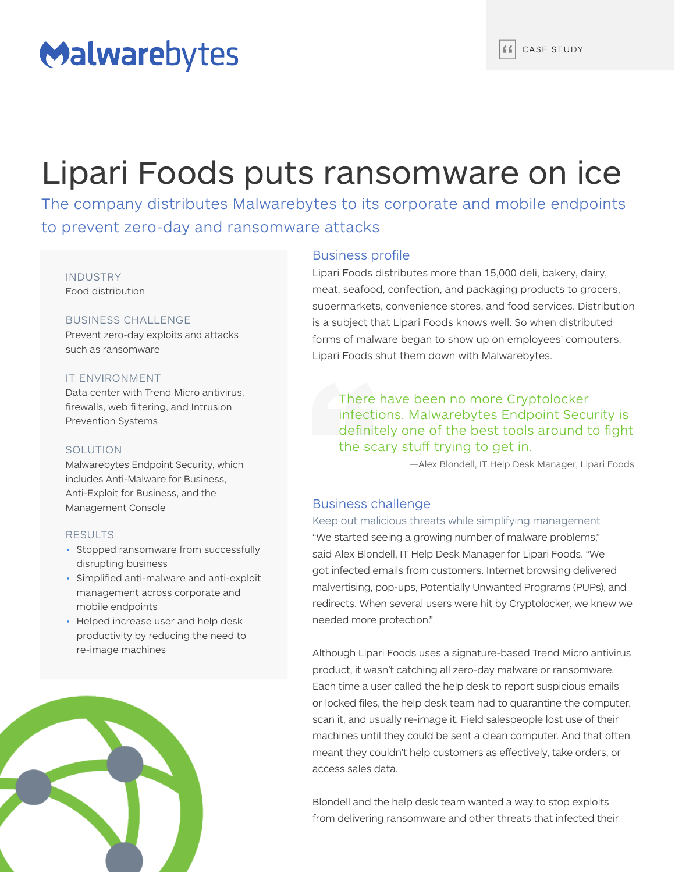# Malwarebytes

# Lipari Foods puts ransomware on ice

The company distributes Malwarebytes to its corporate and mobile endpoints to prevent zero-day and ransomware attacks

## INDUSTRY Food distribution

## BUSINESS CHALLENGE

Prevent zero-day exploits and attacks such as ransomware

## IT ENVIRONMENT

Data center with Trend Micro antivirus, firewalls, web filtering, and Intrusion Prevention Systems

## SOLUTION

Malwarebytes Endpoint Security, which includes Anti-Malware for Business, Anti-Exploit for Business, and the Management Console

## RESULTS

- Stopped ransomware from successfully disrupting business
- Simplified anti-malware and anti-exploit management across corporate and mobile endpoints
- Helped increase user and help desk productivity by reducing the need to re-image machines



## Business profile

Lipari Foods distributes more than 15,000 deli, bakery, dairy, meat, seafood, confection, and packaging products to grocers, supermarkets, convenience stores, and food services. Distribution is a subject that Lipari Foods knows well. So when distributed forms of malware began to show up on employees' computers, Lipari Foods shut them down with Malwarebytes.

There have been no more Cryptolocker infections. Malwarebytes Endpoint Security is definitely one of the best tools around to fight the scary stuff trying to get in.

—Alex Blondell, IT Help Desk Manager, Lipari Foods

# Business challenge

## Keep out malicious threats while simplifying management

"We started seeing a growing number of malware problems," said Alex Blondell, IT Help Desk Manager for Lipari Foods. "We got infected emails from customers. Internet browsing delivered malvertising, pop-ups, Potentially Unwanted Programs (PUPs), and redirects. When several users were hit by Cryptolocker, we knew we needed more protection."

Although Lipari Foods uses a signature-based Trend Micro antivirus product, it wasn't catching all zero-day malware or ransomware. Each time a user called the help desk to report suspicious emails or locked files, the help desk team had to quarantine the computer, scan it, and usually re-image it. Field salespeople lost use of their machines until they could be sent a clean computer. And that often meant they couldn't help customers as effectively, take orders, or access sales data.

Blondell and the help desk team wanted a way to stop exploits from delivering ransomware and other threats that infected their